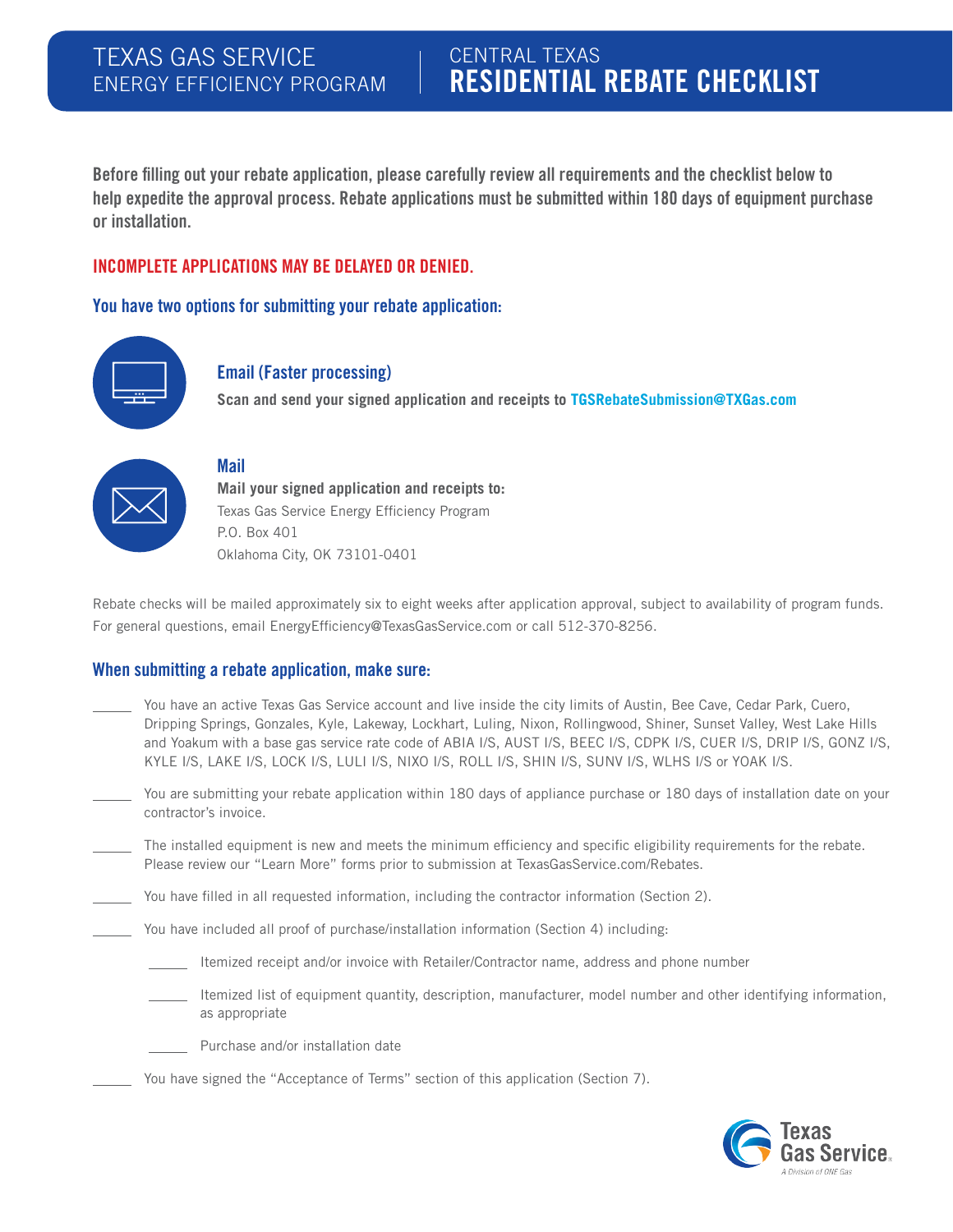### CENTRAL TEXAS RESIDENTIAL REBATE CHECKLIST

Before filling out your rebate application, please carefully review all requirements and the checklist below to help expedite the approval process. Rebate applications must be submitted within 180 days of equipment purchase or installation.

#### INCOMPLETE APPLICATIONS MAY BE DELAYED OR DENIED.

You have two options for submitting your rebate application:



#### Email (Faster processing)

**Scan and send your signed application and receipts to TGSRebateSubmission@TXGas.com**



#### Mail

**Mail your signed application and receipts to:**  Texas Gas Service Energy Efficiency Program P.O. Box 401 Oklahoma City, OK 73101-0401

Rebate checks will be mailed approximately six to eight weeks after application approval, subject to availability of program funds. For general questions, email EnergyEfficiency@TexasGasService.com or call 512-370-8256.

#### When submitting a rebate application, make sure:

- You have an active Texas Gas Service account and live inside the city limits of Austin, Bee Cave, Cedar Park, Cuero, Dripping Springs, Gonzales, Kyle, Lakeway, Lockhart, Luling, Nixon, Rollingwood, Shiner, Sunset Valley, West Lake Hills and Yoakum with a base gas service rate code of ABIA I/S, AUST I/S, BEEC I/S, CDPK I/S, CUER I/S, DRIP I/S, GONZ I/S, KYLE I/S, LAKE I/S, LOCK I/S, LULI I/S, NIXO I/S, ROLL I/S, SHIN I/S, SUNV I/S, WLHS I/S or YOAK I/S.
- You are submitting your rebate application within 180 days of appliance purchase or 180 days of installation date on your contractor's invoice.
- The installed equipment is new and meets the minimum efficiency and specific eligibility requirements for the rebate. Please review our "Learn More" forms prior to submission at TexasGasService.com/Rebates.
- You have filled in all requested information, including the contractor information (Section 2).
	- You have included all proof of purchase/installation information (Section 4) including:
		- Itemized receipt and/or invoice with Retailer/Contractor name, address and phone number
		- Itemized list of equipment quantity, description, manufacturer, model number and other identifying information, as appropriate
		- Purchase and/or installation date
	- You have signed the "Acceptance of Terms" section of this application (Section 7).

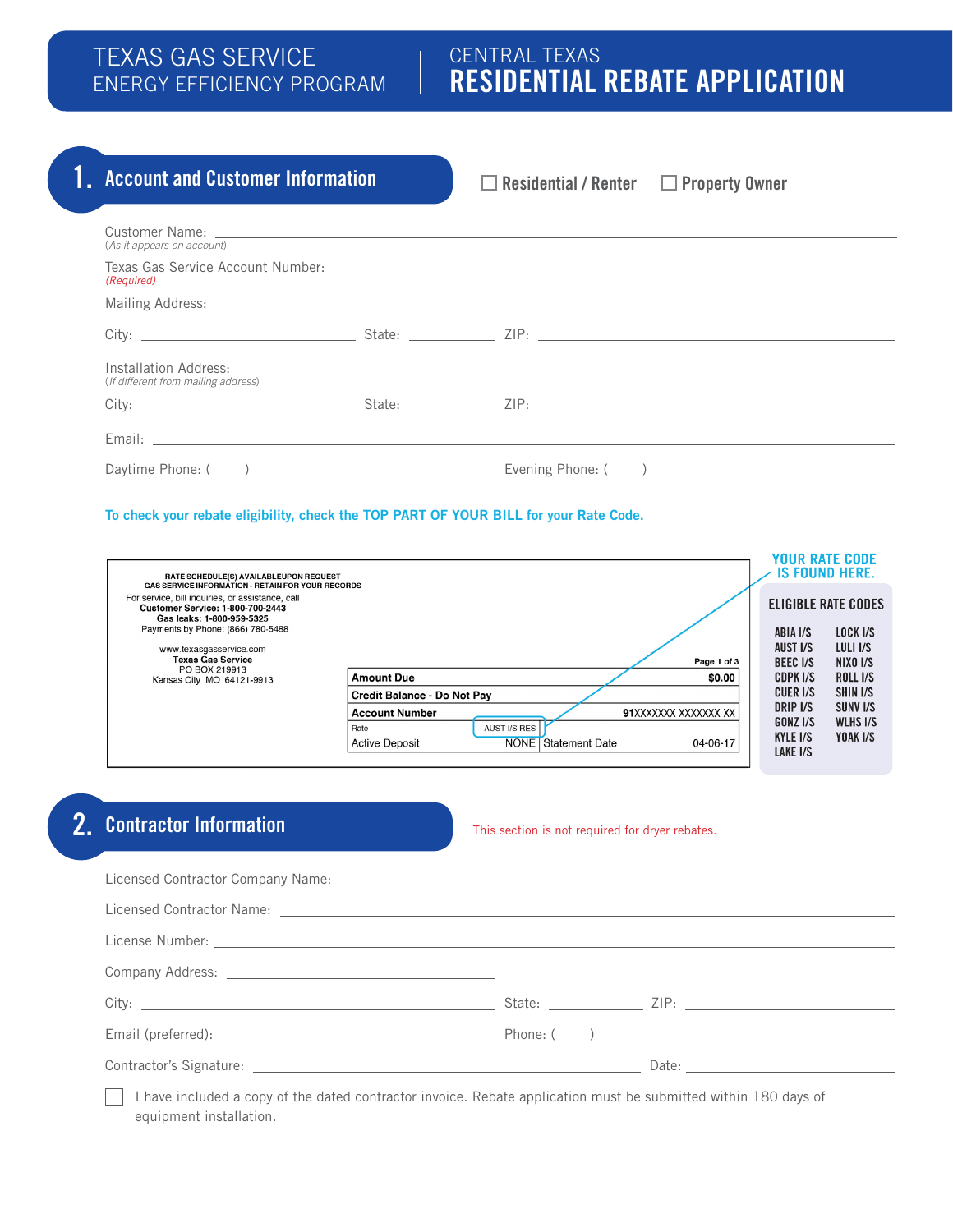#### TEXAS GAS SERVICE ENERGY EFFICIENCY PROGRAM

### CENTRAL TEXAS RESIDENTIAL REBATE APPLICATION

### 1. Account and Customer Information **Residential / Renter Converty Owner**

#### To check your rebate eligibility, check the TOP PART OF YOUR BILL for your Rate Code.

| RATE SCHEDULE(S) AVAILABLEUPON REQUEST                                                                                                                                               |                                                                                                                                          |                                                     | <b>YOUR RATE CODE</b><br>IS FOUND HERE.            |
|--------------------------------------------------------------------------------------------------------------------------------------------------------------------------------------|------------------------------------------------------------------------------------------------------------------------------------------|-----------------------------------------------------|----------------------------------------------------|
| <b>GAS SERVICE INFORMATION - RETAIN FOR YOUR RECORDS</b><br>For service, bill inquiries, or assistance, call<br><b>Customer Service: 1-800-700-2443</b><br>Gas leaks: 1-800-959-5325 |                                                                                                                                          |                                                     | <b>ELIGIBLE RATE CODES</b>                         |
| Payments by Phone: (866) 780-5488<br>www.texasgasservice.com                                                                                                                         |                                                                                                                                          | ABIA I/S<br>AUST I/S                                | LOCK I/S<br>LULI I/S                               |
| <b>Texas Gas Service</b><br>PO BOX 219913<br>Kansas City MO 64121-9913                                                                                                               | Page 1 of 3<br>\$0.00<br><b>Amount Due</b>                                                                                               | <b>BEEC I/S</b><br>CDPK I/S                         | NIXO I/S<br><b>ROLL I/S</b>                        |
|                                                                                                                                                                                      | Credit Balance - Do Not Pav                                                                                                              | CUER I/S                                            | SHIN I/S                                           |
|                                                                                                                                                                                      | <b>Account Number</b><br>91XXXXXXX XXXXXXX XX<br>AUST I/S RES<br>Rate<br><b>NONE</b> Statement Date<br><b>Active Deposit</b><br>04-06-17 | DRIP I/S<br>GONZ I/S<br><b>KYLE I/S</b><br>LAKE I/S | SUNV <sub>I/S</sub><br><b>WLHS I/S</b><br>YOAK I/S |

### 2. Contractor Information

This section is not required for dryer rebates.

| Licensed Contractor Company Name: Latential Contractor Company Name: Latential Contractor Company Name: Latential Contractor Company Name: Latential Contractor Company Name: Latential Contractor Company Name: Latential Con |  |  |  |  |
|--------------------------------------------------------------------------------------------------------------------------------------------------------------------------------------------------------------------------------|--|--|--|--|
|                                                                                                                                                                                                                                |  |  |  |  |
|                                                                                                                                                                                                                                |  |  |  |  |
|                                                                                                                                                                                                                                |  |  |  |  |
|                                                                                                                                                                                                                                |  |  |  |  |
|                                                                                                                                                                                                                                |  |  |  |  |
|                                                                                                                                                                                                                                |  |  |  |  |
| I have included a copy of the dated contractor invoice. Rebate application must be submitted within 180 days of                                                                                                                |  |  |  |  |

equipment installation.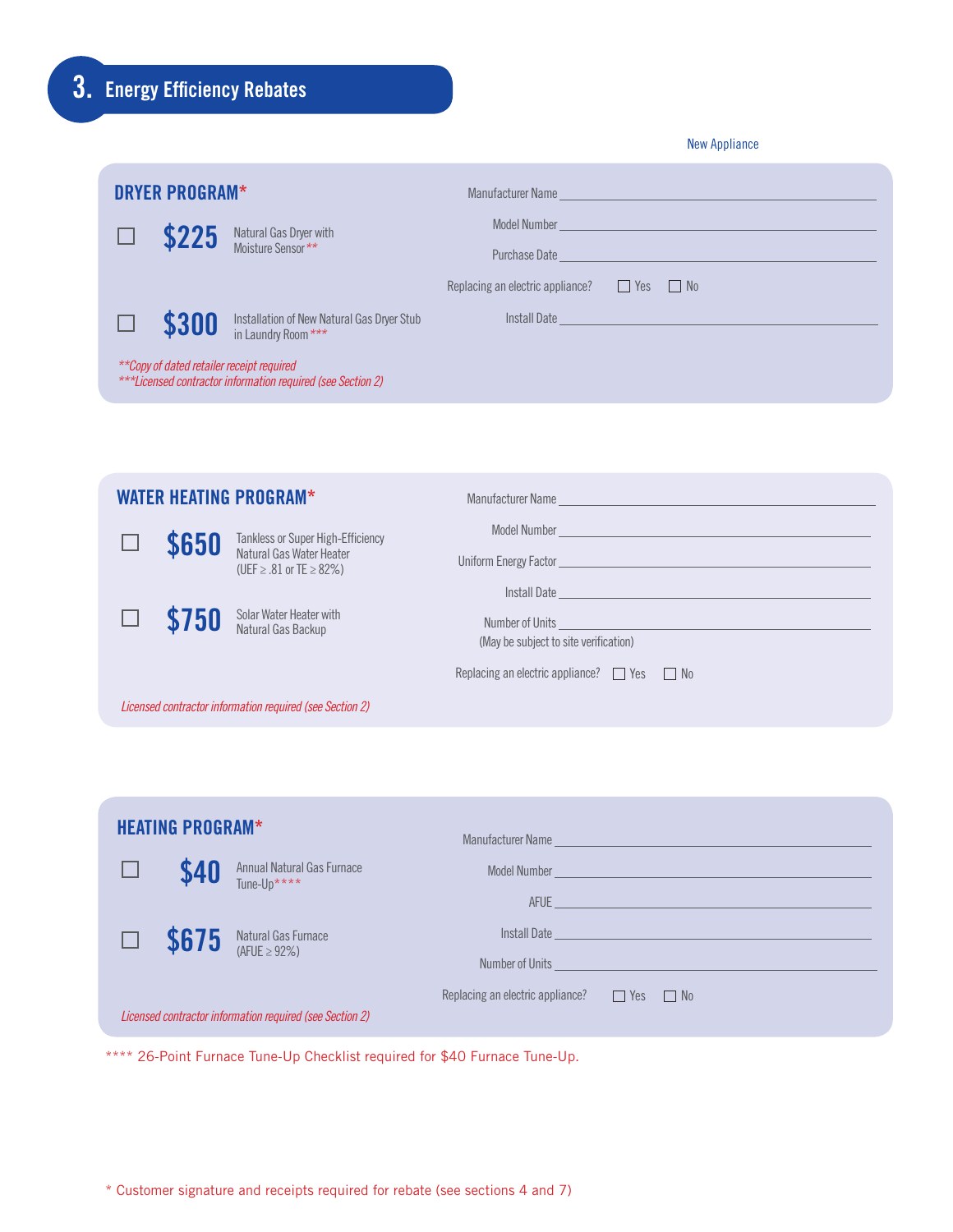## 3. Energy Efficiency Rebates

| <b>New Appliance</b> |  |
|----------------------|--|
|----------------------|--|

|       | <b>DRYER PROGRAM*</b> |                                                                                                          | Manufacturer Name and the contract of the contract of the contract of the contract of the contract of the contract of the contract of the contract of the contract of the contract of the contract of the contract of the cont |                                                            |                                                                                |  |
|-------|-----------------------|----------------------------------------------------------------------------------------------------------|--------------------------------------------------------------------------------------------------------------------------------------------------------------------------------------------------------------------------------|------------------------------------------------------------|--------------------------------------------------------------------------------|--|
| \$225 |                       |                                                                                                          |                                                                                                                                                                                                                                | Model Number <b>Model Number Model Number Model Number</b> |                                                                                |  |
|       |                       | Natural Gas Dryer with<br>Moisture Sensor **                                                             | Purchase Date                                                                                                                                                                                                                  |                                                            | and the control of the control of the control of the control of the control of |  |
|       |                       |                                                                                                          | Replacing an electric appliance?                                                                                                                                                                                               | $\Box$ Yes                                                 | $\Box$ No                                                                      |  |
|       | \$300                 | Installation of New Natural Gas Dryer Stub<br>in Laundry Room ***                                        |                                                                                                                                                                                                                                |                                                            | Install Date                                                                   |  |
|       |                       | **Copy of dated retailer receipt required<br>***Licensed contractor information required (see Section 2) |                                                                                                                                                                                                                                |                                                            |                                                                                |  |

|       | <b>WATER HEATING PROGRAM*</b>                                 |                                                       |
|-------|---------------------------------------------------------------|-------------------------------------------------------|
| \$650 | Tankless or Super High-Efficiency                             |                                                       |
|       | Natural Gas Water Heater<br>(UEF $\geq$ .81 or TE $\geq$ 82%) |                                                       |
|       |                                                               |                                                       |
| \$750 | Solar Water Heater with<br>Natural Gas Backup                 | (May be subject to site verification)                 |
|       |                                                               | Replacing an electric appliance? $\Box$ Yes $\Box$ No |
|       | Licensed contractor information required (see Section 2)      |                                                       |

| <b>HEATING PROGRAM*</b> |                                                          |                                  | Manufacturer Name                                                                                         |
|-------------------------|----------------------------------------------------------|----------------------------------|-----------------------------------------------------------------------------------------------------------|
| \$40                    | Annual Natural Gas Furnace<br>Tune-Up****                |                                  | Model Number <b>Communication</b> and Communication and Communication and Communication and Communication |
|                         |                                                          |                                  | AFUE <b>ALL AND ANNOUNCES</b>                                                                             |
| \$675                   | Natural Gas Furnace<br>(AFUE $\geq$ 92%)                 |                                  | Install Date                                                                                              |
|                         |                                                          |                                  | Number of Units                                                                                           |
|                         |                                                          | Replacing an electric appliance? | $\Box$ Yes $\Box$ No                                                                                      |
|                         | Licensed contractor information required (see Section 2) |                                  |                                                                                                           |

\*\*\*\* 26-Point Furnace Tune-Up Checklist required for \$40 Furnace Tune-Up.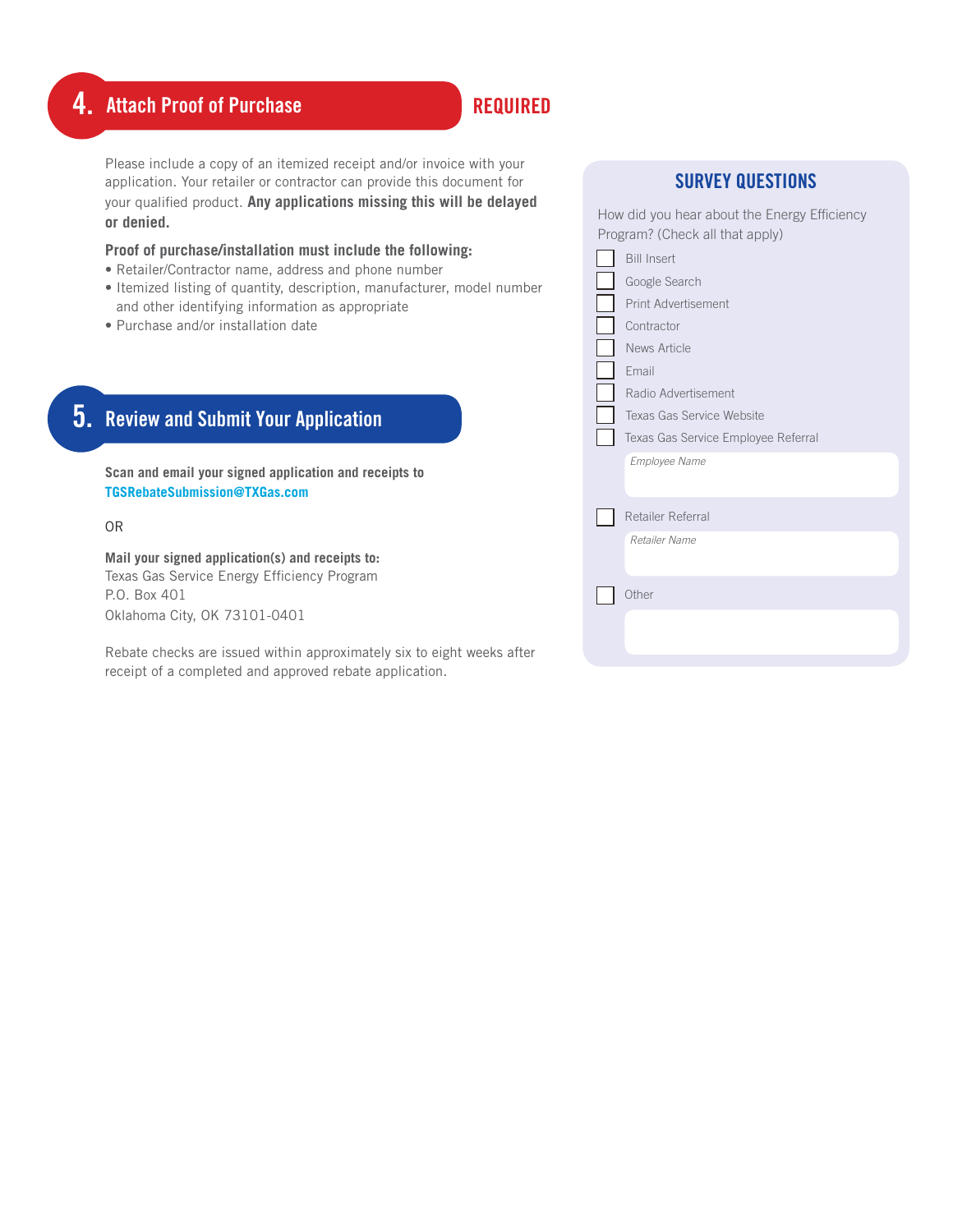### 4. Attach Proof of Purchase REQUIRED

Please include a copy of an itemized receipt and/or invoice with your application. Your retailer or contractor can provide this document for your qualified product. **Any applications missing this will be delayed or denied.**

#### **Proof of purchase/installation must include the following:**

- Retailer/Contractor name, address and phone number
- Itemized listing of quantity, description, manufacturer, model number and other identifying information as appropriate
- Purchase and/or installation date

### 5. Review and Submit Your Application

**Scan and email your signed application and receipts to TGSRebateSubmission@TXGas.com**

OR

**Mail your signed application(s) and receipts to:**  Texas Gas Service Energy Efficiency Program P.O. Box 401 Oklahoma City, OK 73101-0401

Rebate checks are issued within approximately six to eight weeks after receipt of a completed and approved rebate application.

| <b>SURVEY QUESTIONS</b>                                                                                                                                                                                       |
|---------------------------------------------------------------------------------------------------------------------------------------------------------------------------------------------------------------|
| How did you hear about the Energy Efficiency<br>Program? (Check all that apply)                                                                                                                               |
| <b>Bill Insert</b><br>Google Search<br>Print Advertisement<br>Contractor<br>News Article<br>Fmail<br>Radio Advertisement<br>Texas Gas Service Website<br>Texas Gas Service Employee Referral<br>Employee Name |
| Retailer Referral<br>Retailer Name<br>Other                                                                                                                                                                   |
|                                                                                                                                                                                                               |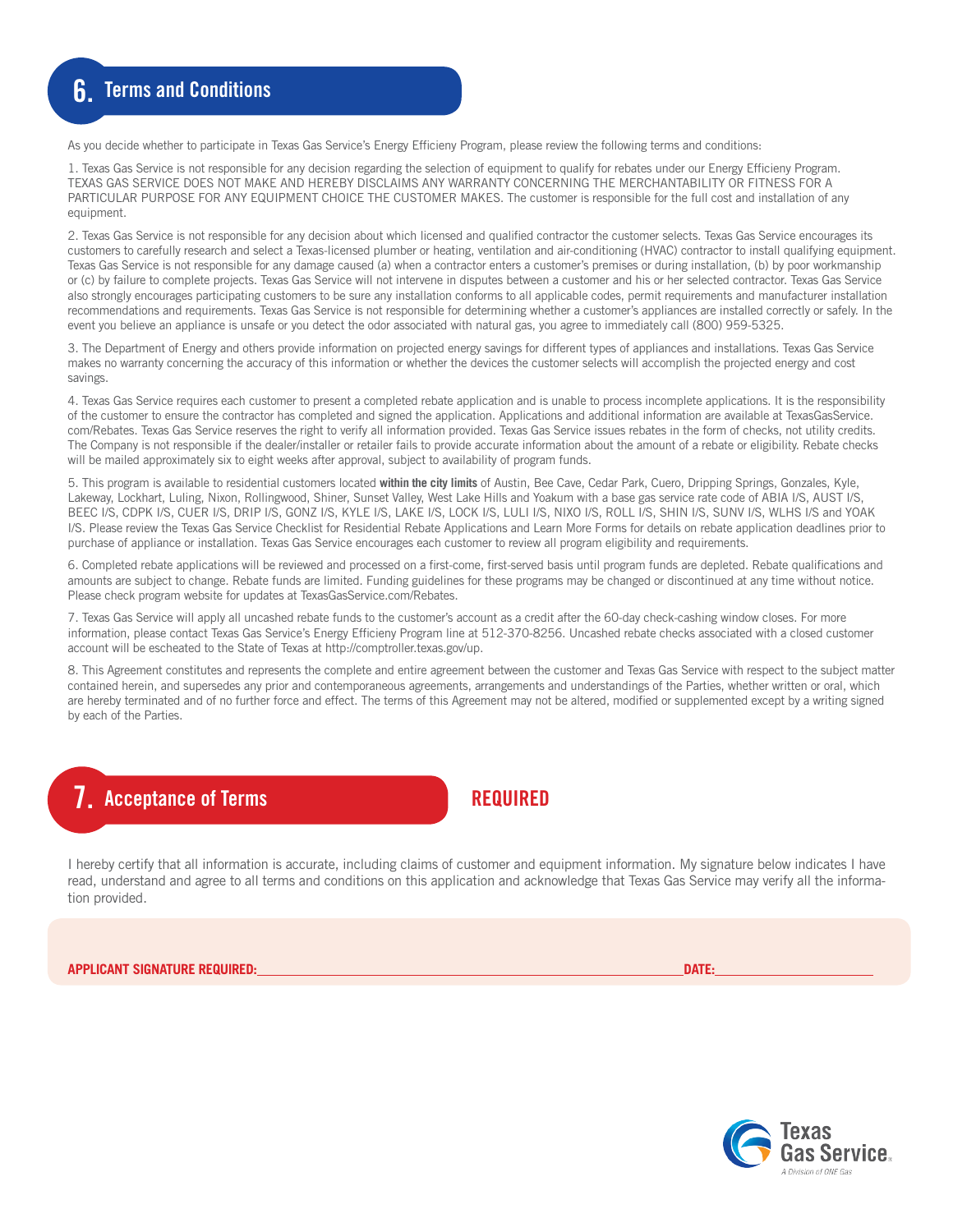As you decide whether to participate in Texas Gas Service's Energy Efficieny Program, please review the following terms and conditions:

1. Texas Gas Service is not responsible for any decision regarding the selection of equipment to qualify for rebates under our Energy Efficieny Program. TEXAS GAS SERVICE DOES NOT MAKE AND HEREBY DISCLAIMS ANY WARRANTY CONCERNING THE MERCHANTABILITY OR FITNESS FOR A PARTICULAR PURPOSE FOR ANY EQUIPMENT CHOICE THE CUSTOMER MAKES. The customer is responsible for the full cost and installation of any equipment.

2. Texas Gas Service is not responsible for any decision about which licensed and qualified contractor the customer selects. Texas Gas Service encourages its customers to carefully research and select a Texas-licensed plumber or heating, ventilation and air-conditioning (HVAC) contractor to install qualifying equipment. Texas Gas Service is not responsible for any damage caused (a) when a contractor enters a customer's premises or during installation, (b) by poor workmanship or (c) by failure to complete projects. Texas Gas Service will not intervene in disputes between a customer and his or her selected contractor. Texas Gas Service also strongly encourages participating customers to be sure any installation conforms to all applicable codes, permit requirements and manufacturer installation recommendations and requirements. Texas Gas Service is not responsible for determining whether a customer's appliances are installed correctly or safely. In the event you believe an appliance is unsafe or you detect the odor associated with natural gas, you agree to immediately call (800) 959-5325.

3. The Department of Energy and others provide information on projected energy savings for different types of appliances and installations. Texas Gas Service makes no warranty concerning the accuracy of this information or whether the devices the customer selects will accomplish the projected energy and cost savings.

4. Texas Gas Service requires each customer to present a completed rebate application and is unable to process incomplete applications. It is the responsibility of the customer to ensure the contractor has completed and signed the application. Applications and additional information are available at TexasGasService. com/Rebates. Texas Gas Service reserves the right to verify all information provided. Texas Gas Service issues rebates in the form of checks, not utility credits. The Company is not responsible if the dealer/installer or retailer fails to provide accurate information about the amount of a rebate or eligibility. Rebate checks will be mailed approximately six to eight weeks after approval, subject to availability of program funds.

5. This program is available to residential customers located **within the city limits** of Austin, Bee Cave, Cedar Park, Cuero, Dripping Springs, Gonzales, Kyle, Lakeway, Lockhart, Luling, Nixon, Rollingwood, Shiner, Sunset Valley, West Lake Hills and Yoakum with a base gas service rate code of ABIA I/S, AUST I/S, BEEC I/S, CDPK I/S, CUER I/S, DRIP I/S, GONZ I/S, KYLE I/S, LAKE I/S, LOCK I/S, LULI I/S, NIXO I/S, ROLL I/S, SHIN I/S, SUNV I/S, WLHS I/S and YOAK I/S. Please review the Texas Gas Service Checklist for Residential Rebate Applications and Learn More Forms for details on rebate application deadlines prior to purchase of appliance or installation. Texas Gas Service encourages each customer to review all program eligibility and requirements.

6. Completed rebate applications will be reviewed and processed on a first-come, first-served basis until program funds are depleted. Rebate qualifications and amounts are subject to change. Rebate funds are limited. Funding guidelines for these programs may be changed or discontinued at any time without notice. Please check program website for updates at TexasGasService.com/Rebates.

7. Texas Gas Service will apply all uncashed rebate funds to the customer's account as a credit after the 60-day check-cashing window closes. For more information, please contact Texas Gas Service's Energy Efficieny Program line at 512-370-8256. Uncashed rebate checks associated with a closed customer account will be escheated to the State of Texas at http://comptroller.texas.gov/up.

8. This Agreement constitutes and represents the complete and entire agreement between the customer and Texas Gas Service with respect to the subject matter contained herein, and supersedes any prior and contemporaneous agreements, arrangements and understandings of the Parties, whether written or oral, which are hereby terminated and of no further force and effect. The terms of this Agreement may not be altered, modified or supplemented except by a writing signed by each of the Parties.

#### **Acceptance of Terms**

REQUIRED

I hereby certify that all information is accurate, including claims of customer and equipment information. My signature below indicates I have read, understand and agree to all terms and conditions on this application and acknowledge that Texas Gas Service may verify all the information provided.

**APPLICANT SIGNATURE REQUIRED: DATE:** 

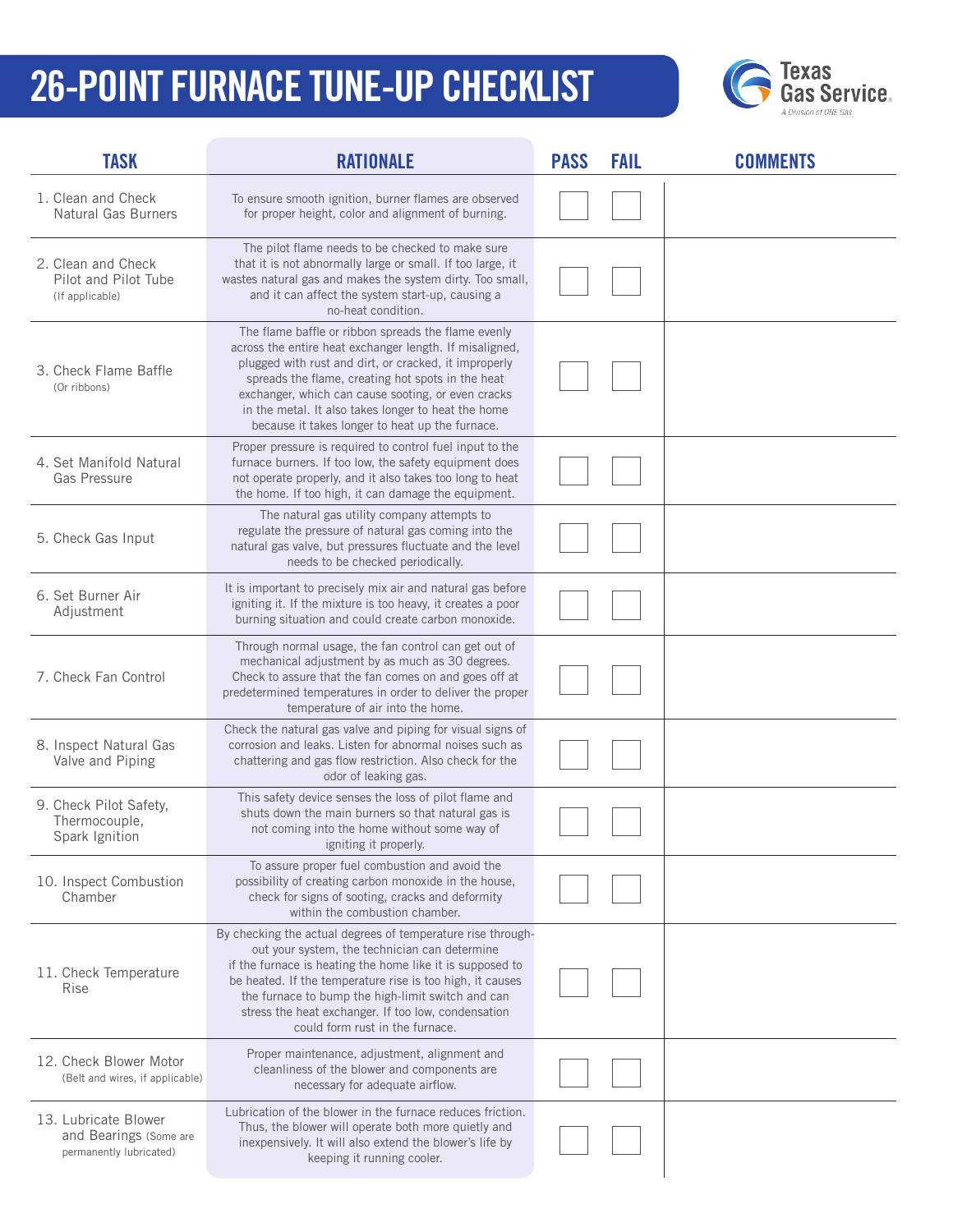# 26-POINT FURNACE TUNE-UP CHECKLIST



| <b>TASK</b>                                                               | <b>RATIONALE</b>                                                                                                                                                                                                                                                                                                                                                                             | <b>PASS</b> | <b>FAIL</b> | <b>COMMENTS</b> |
|---------------------------------------------------------------------------|----------------------------------------------------------------------------------------------------------------------------------------------------------------------------------------------------------------------------------------------------------------------------------------------------------------------------------------------------------------------------------------------|-------------|-------------|-----------------|
| 1. Clean and Check<br><b>Natural Gas Burners</b>                          | To ensure smooth ignition, burner flames are observed<br>for proper height, color and alignment of burning.                                                                                                                                                                                                                                                                                  |             |             |                 |
| 2. Clean and Check<br>Pilot and Pilot Tube<br>(If applicable)             | The pilot flame needs to be checked to make sure<br>that it is not abnormally large or small. If too large, it<br>wastes natural gas and makes the system dirty. Too small,<br>and it can affect the system start-up, causing a<br>no-heat condition.                                                                                                                                        |             |             |                 |
| 3. Check Flame Baffle<br>(Or ribbons)                                     | The flame baffle or ribbon spreads the flame evenly<br>across the entire heat exchanger length. If misaligned,<br>plugged with rust and dirt, or cracked, it improperly<br>spreads the flame, creating hot spots in the heat<br>exchanger, which can cause sooting, or even cracks<br>in the metal. It also takes longer to heat the home<br>because it takes longer to heat up the furnace. |             |             |                 |
| 4. Set Manifold Natural<br><b>Gas Pressure</b>                            | Proper pressure is required to control fuel input to the<br>furnace burners. If too low, the safety equipment does<br>not operate properly, and it also takes too long to heat<br>the home. If too high, it can damage the equipment.                                                                                                                                                        |             |             |                 |
| 5. Check Gas Input                                                        | The natural gas utility company attempts to<br>regulate the pressure of natural gas coming into the<br>natural gas valve, but pressures fluctuate and the level<br>needs to be checked periodically.                                                                                                                                                                                         |             |             |                 |
| 6. Set Burner Air<br>Adjustment                                           | It is important to precisely mix air and natural gas before<br>igniting it. If the mixture is too heavy, it creates a poor<br>burning situation and could create carbon monoxide.                                                                                                                                                                                                            |             |             |                 |
| 7. Check Fan Control                                                      | Through normal usage, the fan control can get out of<br>mechanical adjustment by as much as 30 degrees.<br>Check to assure that the fan comes on and goes off at<br>predetermined temperatures in order to deliver the proper<br>temperature of air into the home.                                                                                                                           |             |             |                 |
| 8. Inspect Natural Gas<br>Valve and Piping                                | Check the natural gas valve and piping for visual signs of<br>corrosion and leaks. Listen for abnormal noises such as<br>chattering and gas flow restriction. Also check for the<br>odor of leaking gas.                                                                                                                                                                                     |             |             |                 |
| 9. Check Pilot Safety,<br>Thermocouple,<br>Spark Ignition                 | This safety device senses the loss of pilot flame and<br>shuts down the main burners so that natural gas is<br>not coming into the home without some way of<br>igniting it properly.                                                                                                                                                                                                         |             |             |                 |
| 10. Inspect Combustion<br>Chamber                                         | To assure proper fuel combustion and avoid the<br>possibility of creating carbon monoxide in the house,<br>check for signs of sooting, cracks and deformity<br>within the combustion chamber.                                                                                                                                                                                                |             |             |                 |
| 11. Check Temperature<br><b>Rise</b>                                      | By checking the actual degrees of temperature rise through-<br>out your system, the technician can determine<br>if the furnace is heating the home like it is supposed to<br>be heated. If the temperature rise is too high, it causes<br>the furnace to bump the high-limit switch and can<br>stress the heat exchanger. If too low, condensation<br>could form rust in the furnace.        |             |             |                 |
| 12. Check Blower Motor<br>(Belt and wires, if applicable)                 | Proper maintenance, adjustment, alignment and<br>cleanliness of the blower and components are<br>necessary for adequate airflow.                                                                                                                                                                                                                                                             |             |             |                 |
| 13. Lubricate Blower<br>and Bearings (Some are<br>permanently lubricated) | Lubrication of the blower in the furnace reduces friction.<br>Thus, the blower will operate both more quietly and<br>inexpensively. It will also extend the blower's life by<br>keeping it running cooler.                                                                                                                                                                                   |             |             |                 |